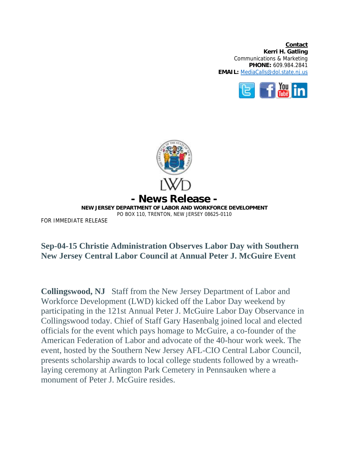**Contact Kerri H. Gatling**  Communications & Marketing **PHONE:** 609.984.2841 **EMAIL:** MediaCalls@dol.state.nj.us





## **Sep-04-15 Christie Administration Observes Labor Day with Southern New Jersey Central Labor Council at Annual Peter J. McGuire Event**

**Collingswood, NJ** Staff from the New Jersey Department of Labor and Workforce Development (LWD) kicked off the Labor Day weekend by participating in the 121st Annual Peter J. McGuire Labor Day Observance in Collingswood today. Chief of Staff Gary Hasenbalg joined local and elected officials for the event which pays homage to McGuire, a co-founder of the American Federation of Labor and advocate of the 40-hour work week. The event, hosted by the Southern New Jersey AFL-CIO Central Labor Council, presents scholarship awards to local college students followed by a wreathlaying ceremony at Arlington Park Cemetery in Pennsauken where a monument of Peter J. McGuire resides.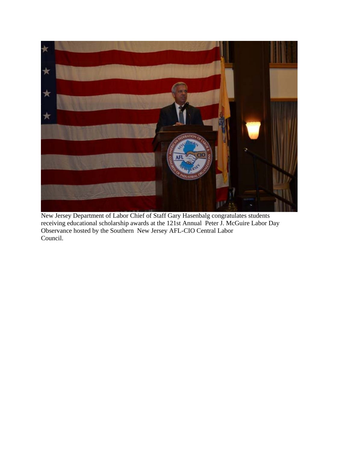

New Jersey Department of Labor Chief of Staff Gary Hasenbalg congratulates students receiving educational scholarship awards at the 121st Annual Peter J. McGuire Labor Day Observance hosted by the Southern New Jersey AFL-CIO Central Labor Council.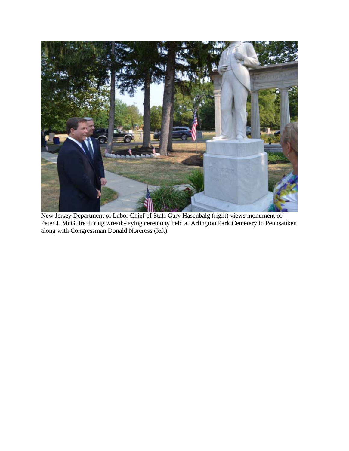

New Jersey Department of Labor Chief of Staff Gary Hasenbalg (right) views monument of Peter J. McGuire during wreath-laying ceremony held at Arlington Park Cemetery in Pennsauken along with Congressman Donald Norcross (left).